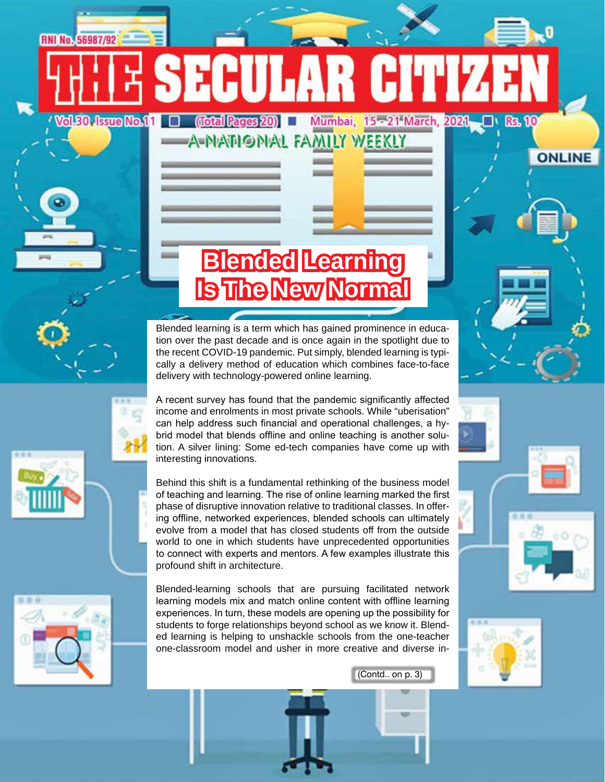Mumbai, 15 - 21 March, 2021

# **Blended Learning Is The New Normal**

EHULAR HUJ

**A-NATIONAL FAMILY WEEKLY** 

(Total Pages 20)

Blended learning is a term which has gained prominence in education over the past decade and is once again in the spotlight due to the recent COVID-19 pandemic. Put simply, blended learning is typically a delivery method of education which combines face-to-face delivery with technology-powered online learning.

A recent survey has found that the pandemic significantly affected income and enrolments in most private schools. While "uberisation" can help address such financial and operational challenges, a hybrid model that blends offline and online teaching is another solution. A silver lining: Some ed-tech companies have come up with interesting innovations.

Behind this shift is a fundamental rethinking of the business model of teaching and learning. The rise of online learning marked the first phase of disruptive innovation relative to traditional classes. In offering offline, networked experiences, blended schools can ultimately evolve from a model that has closed students off from the outside world to one in which students have unprecedented opportunities to connect with experts and mentors. A few examples illustrate this profound shift in architecture.



**RNI No. 56987/92** 

**Vol.30, Issue No.11** 

Blended-learning schools that are pursuing facilitated network learning models mix and match online content with offline learning experiences. In turn, these models are opening up the possibility for students to forge relationships beyond school as we know it. Blended learning is helping to unshackle schools from the one-teacher one-classroom model and usher in more creative and diverse in-





**Rs. 10** 

**ONLINE** 

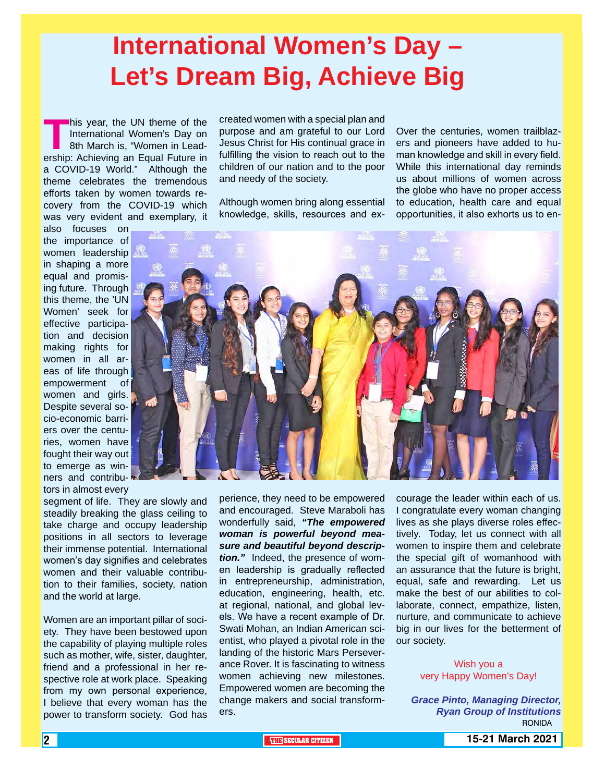# **International Women's Day – Let's Dream Big, Achieve Big**

**This year, the UN theme of the<br>International Women's Day on<br>8th March is, "Women in Lead-<br>ership: Achieving an Equal Future in** International Women's Day on 8th March is, "Women in Leadership: Achieving an Equal Future in a COVID-19 World." Although the theme celebrates the tremendous efforts taken by women towards recovery from the COVID-19 which was very evident and exemplary, it

also focuses on the importance of women leadership in shaping a more equal and promising future. Through this theme, the 'UN Women' seek for effective participation and decision making rights for women in all areas of life through empowerment of women and girls. Despite several socio-economic barriers over the centuries, women have fought their way out to emerge as winners and contributors in almost every

segment of life. They are slowly and steadily breaking the glass ceiling to take charge and occupy leadership positions in all sectors to leverage their immense potential. International women's day signifies and celebrates women and their valuable contribution to their families, society, nation and the world at large.

Women are an important pillar of society. They have been bestowed upon the capability of playing multiple roles such as mother, wife, sister, daughter, friend and a professional in her respective role at work place. Speaking from my own personal experience, I believe that every woman has the power to transform society. God has

created women with a special plan and purpose and am grateful to our Lord Jesus Christ for His continual grace in fulfilling the vision to reach out to the children of our nation and to the poor and needy of the society.

Although women bring along essential knowledge, skills, resources and ex-

Over the centuries, women trailblazers and pioneers have added to human knowledge and skill in every field. While this international day reminds us about millions of women across the globe who have no proper access to education, health care and equal opportunities, it also exhorts us to en-



perience, they need to be empowered and encouraged. Steve Maraboli has wonderfully said, *"The empowered woman is powerful beyond measure and beautiful beyond description."* Indeed, the presence of women leadership is gradually reflected in entrepreneurship, administration, education, engineering, health, etc. at regional, national, and global levels. We have a recent example of Dr. Swati Mohan, an Indian American scientist, who played a pivotal role in the landing of the historic Mars Perseverance Rover. It is fascinating to witness women achieving new milestones. Empowered women are becoming the change makers and social transformers.

courage the leader within each of us. I congratulate every woman changing lives as she plays diverse roles effectively. Today, let us connect with all women to inspire them and celebrate the special gift of womanhood with an assurance that the future is bright, equal, safe and rewarding. Let us make the best of our abilities to collaborate, connect, empathize, listen, nurture, and communicate to achieve big in our lives for the betterment of our society.

> Wish you a very Happy Women's Day!

*Grace Pinto, Managing Director, Ryan Group of Institutions* **RONIDA**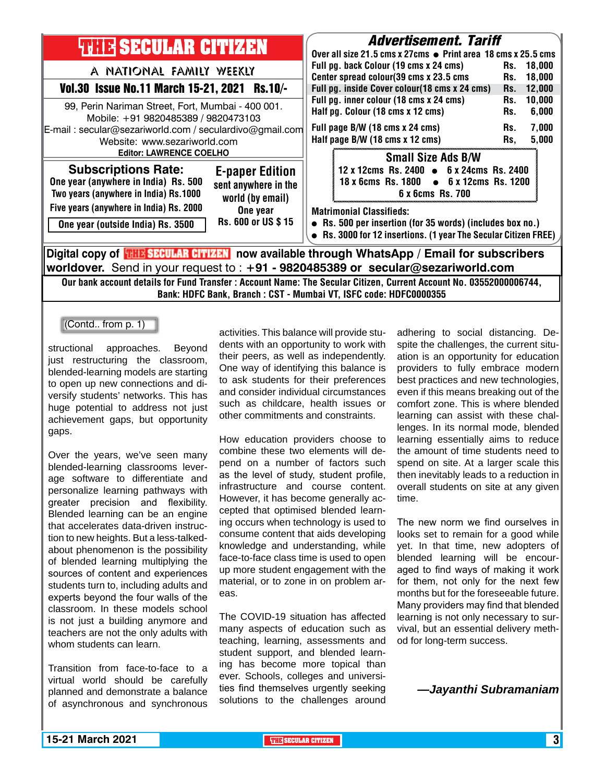

Our bank account details for Fund Transfer : Account Name: The Secular Citizen, Current Account No. 03552000006744, Bank: HDFC Bank, Branch : CST - Mumbai VT, ISFC code: HDFC0000355

(Contd.. from p. 1)

structional approaches. Beyond just restructuring the classroom. blended-learning models are starting to open up new connections and diversify students' networks. This has huge potential to address not just achievement gaps, but opportunity gaps.

Over the years, we've seen many blended-learning classrooms leverage software to differentiate and personalize learning pathways with greater precision and flexibility. Blended learning can be an engine that accelerates data-driven instruction to new heights. But a less-talkedabout phenomenon is the possibility of blended learning multiplying the sources of content and experiences students turn to, including adults and experts beyond the four walls of the classroom. In these models school is not just a building anymore and teachers are not the only adults with whom students can learn.

Transition from face-to-face to a virtual world should be carefully planned and demonstrate a balance of asynchronous and synchronous

activities. This balance will provide students with an opportunity to work with their peers, as well as independently. One way of identifying this balance is to ask students for their preferences and consider individual circumstances such as childcare, health issues or other commitments and constraints.

How education providers choose to combine these two elements will depend on a number of factors such as the level of study, student profile, infrastructure and course content. However, it has become generally accepted that optimised blended learning occurs when technology is used to consume content that aids developing knowledge and understanding, while face-to-face class time is used to open up more student engagement with the material, or to zone in on problem areas.

The COVID-19 situation has affected many aspects of education such as teaching, learning, assessments and student support, and blended learning has become more topical than ever. Schools, colleges and universities find themselves urgently seeking solutions to the challenges around

adhering to social distancing. Despite the challenges, the current situation is an opportunity for education providers to fully embrace modern best practices and new technologies, even if this means breaking out of the comfort zone. This is where blended learning can assist with these challenges. In its normal mode, blended learning essentially aims to reduce the amount of time students need to spend on site. At a larger scale this then inevitably leads to a reduction in overall students on site at any given time.

The new norm we find ourselves in looks set to remain for a good while yet. In that time, new adopters of blended learning will be encouraged to find ways of making it work for them, not only for the next few months but for the foreseeable future. Many providers may find that blended learning is not only necessary to survival, but an essential delivery method for long-term success.

*—Jayanthi Subramaniam*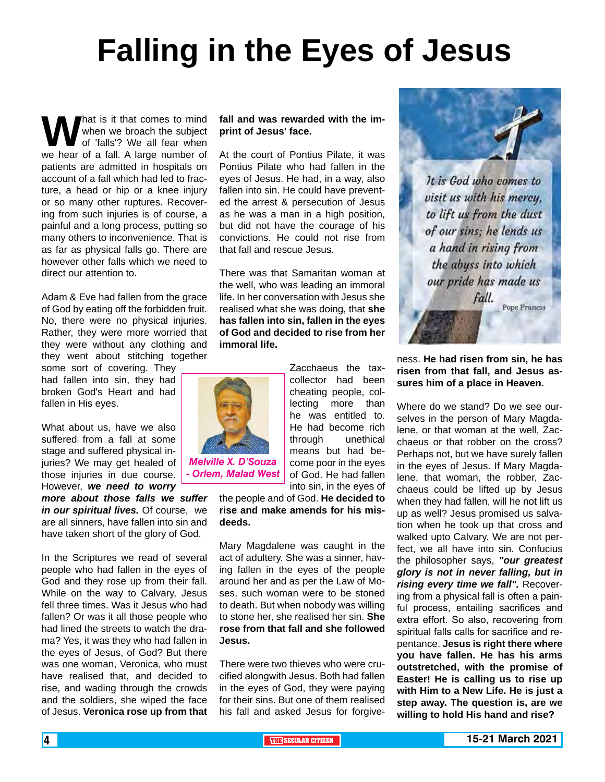# **Falling in the Eyes of Jesus**

What is it that comes to mind<br>when we broach the subject<br>we hear of a fall. A large number of when we broach the subject of 'falls'? We all fear when patients are admitted in hospitals on account of a fall which had led to fracture, a head or hip or a knee injury or so many other ruptures. Recovering from such injuries is of course, a painful and a long process, putting so many others to inconvenience. That is as far as physical falls go. There are however other falls which we need to direct our attention to.

Adam & Eve had fallen from the grace of God by eating off the forbidden fruit. No, there were no physical injuries. Rather, they were more worried that they were without any clothing and they went about stitching together

some sort of covering. They had fallen into sin, they had broken God's Heart and had fallen in His eyes.

What about us, have we also suffered from a fall at some stage and suffered physical injuries? We may get healed of those injuries in due course. However, *we need to worry* 

*more about those falls we suffer in our spiritual lives.* Of course, we are all sinners, have fallen into sin and have taken short of the glory of God.

In the Scriptures we read of several people who had fallen in the eyes of God and they rose up from their fall. While on the way to Calvary, Jesus fell three times. Was it Jesus who had fallen? Or was it all those people who had lined the streets to watch the drama? Yes, it was they who had fallen in the eyes of Jesus, of God? But there was one woman, Veronica, who must have realised that, and decided to rise, and wading through the crowds and the soldiers, she wiped the face of Jesus. **Veronica rose up from that**  **fall and was rewarded with the imprint of Jesus' face.**

At the court of Pontius Pilate, it was Pontius Pilate who had fallen in the eyes of Jesus. He had, in a way, also fallen into sin. He could have prevented the arrest & persecution of Jesus as he was a man in a high position, but did not have the courage of his convictions. He could not rise from that fall and rescue Jesus.

There was that Samaritan woman at the well, who was leading an immoral life. In her conversation with Jesus she realised what she was doing, that **she has fallen into sin, fallen in the eyes of God and decided to rise from her immoral life.**

> Zacchaeus the taxcollector had been cheating people, collecting more than he was entitled to. He had become rich through unethical means but had become poor in the eyes of God. He had fallen into sin, in the eyes of



*Melville X. D'Souza - Orlem, Malad West*

the people and of God. **He decided to rise and make amends for his misdeeds.**

Mary Magdalene was caught in the act of adultery. She was a sinner, having fallen in the eyes of the people around her and as per the Law of Moses, such woman were to be stoned to death. But when nobody was willing to stone her, she realised her sin. **She rose from that fall and she followed Jesus.**

There were two thieves who were crucified alongwith Jesus. Both had fallen in the eyes of God, they were paying for their sins. But one of them realised his fall and asked Jesus for forgive-



It is God who comes to visit us with his mercy, to lift us from the dust of our sins; he lends us a hand in rising from the abyss into which our pride has made us fall.

Pope Francis

ness. **He had risen from sin, he has risen from that fall, and Jesus assures him of a place in Heaven.**

Where do we stand? Do we see ourselves in the person of Mary Magdalene, or that woman at the well, Zacchaeus or that robber on the cross? Perhaps not, but we have surely fallen in the eyes of Jesus. If Mary Magdalene, that woman, the robber, Zacchaeus could be lifted up by Jesus when they had fallen, will he not lift us up as well? Jesus promised us salvation when he took up that cross and walked upto Calvary. We are not perfect, we all have into sin. Confucius the philosopher says, *"our greatest glory is not in never falling, but in rising every time we fall".* Recovering from a physical fall is often a painful process, entailing sacrifices and extra effort. So also, recovering from spiritual falls calls for sacrifice and repentance. **Jesus is right there where you have fallen. He has his arms outstretched, with the promise of Easter! He is calling us to rise up with Him to a New Life. He is just a step away. The question is, are we willing to hold His hand and rise?**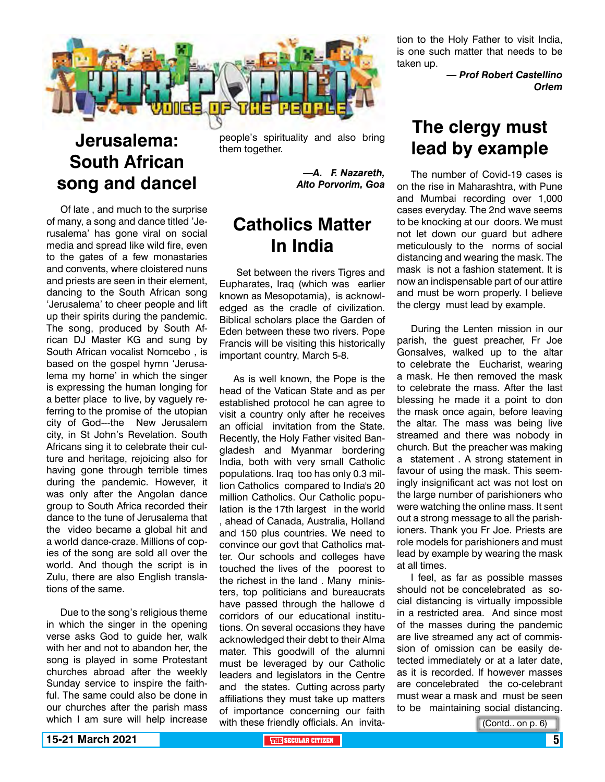

## **Jerusalema: South African song and dancel**

Of late , and much to the surprise of many, a song and dance titled 'Jerusalema' has gone viral on social media and spread like wild fire, even to the gates of a few monastaries and convents, where cloistered nuns and priests are seen in their element, dancing to the South African song 'Jerusalema' to cheer people and lift up their spirits during the pandemic. The song, produced by South African DJ Master KG and sung by South African vocalist Nomcebo , is based on the gospel hymn 'Jerusalema my home' in which the singer is expressing the human longing for a better place to live, by vaguely referring to the promise of the utopian city of God---the New Jerusalem city, in St John's Revelation. South Africans sing it to celebrate their culture and heritage, rejoicing also for having gone through terrible times during the pandemic. However, it was only after the Angolan dance group to South Africa recorded their dance to the tune of Jerusalema that the video became a global hit and a world dance-craze. Millions of copies of the song are sold all over the world. And though the script is in Zulu, there are also English translations of the same.

Due to the song's religious theme in which the singer in the opening verse asks God to guide her, walk with her and not to abandon her, the song is played in some Protestant churches abroad after the weekly Sunday service to inspire the faithful. The same could also be done in our churches after the parish mass which I am sure will help increase

people's spirituality and also bring them together.

> *—A. F. Nazareth, Alto Porvorim, Goa*

### **Catholics Matter In India**

 Set between the rivers Tigres and Eupharates, Iraq (which was earlier known as Mesopotamia), is acknowledged as the cradle of civilization. Biblical scholars place the Garden of Eden between these two rivers. Pope Francis will be visiting this historically important country, March 5-8.

As is well known, the Pope is the head of the Vatican State and as per established protocol he can agree to visit a country only after he receives an official invitation from the State. Recently, the Holy Father visited Bangladesh and Myanmar bordering India, both with very small Catholic populations. Iraq too has only 0.3 million Catholics compared to India's 20 million Catholics. Our Catholic population is the 17th largest in the world , ahead of Canada, Australia, Holland and 150 plus countries. We need to convince our govt that Catholics matter. Our schools and colleges have touched the lives of the poorest to the richest in the land . Many ministers, top politicians and bureaucrats have passed through the hallowe d corridors of our educational institutions. On several occasions they have acknowledged their debt to their Alma mater. This goodwill of the alumni must be leveraged by our Catholic leaders and legislators in the Centre and the states. Cutting across party affiliations they must take up matters of importance concerning our faith with these friendly officials. An invitation to the Holy Father to visit India, is one such matter that needs to be taken up.

> *— Prof Robert Castellino Orlem*

### **The clergy must lead by example**

The number of Covid-19 cases is on the rise in Maharashtra, with Pune and Mumbai recording over 1,000 cases everyday. The 2nd wave seems to be knocking at our doors. We must not let down our guard but adhere meticulously to the norms of social distancing and wearing the mask. The mask is not a fashion statement. It is now an indispensable part of our attire and must be worn properly. I believe the clergy must lead by example.

During the Lenten mission in our parish, the guest preacher, Fr Joe Gonsalves, walked up to the altar to celebrate the Eucharist, wearing a mask. He then removed the mask to celebrate the mass. After the last blessing he made it a point to don the mask once again, before leaving the altar. The mass was being live streamed and there was nobody in church. But the preacher was making a statement . A strong statement in favour of using the mask. This seemingly insignificant act was not lost on the large number of parishioners who were watching the online mass. It sent out a strong message to all the parishioners. Thank you Fr Joe. Priests are role models for parishioners and must lead by example by wearing the mask at all times.

I feel, as far as possible masses should not be concelebrated as social distancing is virtually impossible in a restricted area. And since most of the masses during the pandemic are live streamed any act of commission of omission can be easily detected immediately or at a later date, as it is recorded. If however masses are concelebrated the co-celebrant must wear a mask and must be seen to be maintaining social distancing.

(Contd.. on p. 6)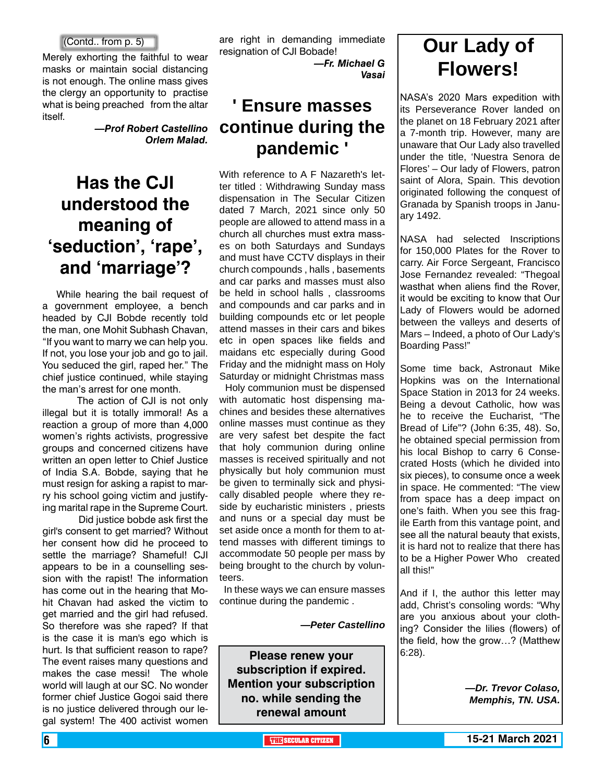#### (Contd.. from p. 5)

Merely exhorting the faithful to wear masks or maintain social distancing is not enough. The online mass gives the clergy an opportunity to practise what is being preached from the altar itself.

> *—Prof Robert Castellino Orlem Malad.*

### **Has the CJI understood the meaning of 'seduction', 'rape', and 'marriage'?**

While hearing the bail request of a government employee, a bench headed by CJI Bobde recently told the man, one Mohit Subhash Chavan, "If you want to marry we can help you. If not, you lose your job and go to jail. You seduced the girl, raped her." The chief justice continued, while staying the man's arrest for one month.

 The action of CJI is not only illegal but it is totally immoral! As a reaction a group of more than 4,000 women's rights activists, progressive groups and concerned citizens have written an open letter to Chief Justice of India S.A. Bobde, saying that he must resign for asking a rapist to marry his school going victim and justifying marital rape in the Supreme Court.

 Did justice bobde ask first the girl's consent to get married? Without her consent how did he proceed to settle the marriage? Shameful! CJI appears to be in a counselling session with the rapist! The information has come out in the hearing that Mohit Chavan had asked the victim to get married and the girl had refused. So therefore was she raped? If that is the case it is man's ego which is hurt. Is that sufficient reason to rape? The event raises many questions and makes the case messi! The whole world will laugh at our SC. No wonder former chief Justice Gogoi said there is no justice delivered through our legal system! The 400 activist women

are right in demanding immediate resignation of CJI Bobade!

*—Fr. Michael G Vasai*

### **' Ensure masses continue during the pandemic '**

With reference to A F Nazareth's letter titled : Withdrawing Sunday mass dispensation in The Secular Citizen dated 7 March, 2021 since only 50 people are allowed to attend mass in a church all churches must extra masses on both Saturdays and Sundays and must have CCTV displays in their church compounds , halls , basements and car parks and masses must also be held in school halls , classrooms and compounds and car parks and in building compounds etc or let people attend masses in their cars and bikes etc in open spaces like fields and maidans etc especially during Good Friday and the midnight mass on Holy Saturday or midnight Christmas mass

 Holy communion must be dispensed with automatic host dispensing machines and besides these alternatives online masses must continue as they are very safest bet despite the fact that holy communion during online masses is received spiritually and not physically but holy communion must be given to terminally sick and physically disabled people where they reside by eucharistic ministers , priests and nuns or a special day must be set aside once a month for them to attend masses with different timings to accommodate 50 people per mass by being brought to the church by volunteers.

 In these ways we can ensure masses continue during the pandemic .

*—Peter Castellino*

**Please renew your subscription if expired. Mention your subscription no. while sending the renewal amount**

## **Our Lady of Flowers!**

NASA's 2020 Mars expedition with its Perseverance Rover landed on the planet on 18 February 2021 after a 7-month trip. However, many are unaware that Our Lady also travelled under the title, 'Nuestra Senora de Flores' – Our lady of Flowers, patron saint of Alora, Spain. This devotion originated following the conquest of Granada by Spanish troops in January 1492.

NASA had selected Inscriptions for 150,000 Plates for the Rover to carry. Air Force Sergeant, Francisco Jose Fernandez revealed: "Thegoal wasthat when aliens find the Rover, it would be exciting to know that Our Lady of Flowers would be adorned between the valleys and deserts of Mars – Indeed, a photo of Our Lady's Boarding Pass!"

Some time back, Astronaut Mike Hopkins was on the International Space Station in 2013 for 24 weeks. Being a devout Catholic, how was he to receive the Eucharist, "The Bread of Life"? (John 6:35, 48). So, he obtained special permission from his local Bishop to carry 6 Consecrated Hosts (which he divided into six pieces), to consume once a week in space. He commented: "The view from space has a deep impact on one's faith. When you see this fragile Earth from this vantage point, and see all the natural beauty that exists, it is hard not to realize that there has to be a Higher Power Who created all this!"

And if I, the author this letter may add, Christ's consoling words: "Why are you anxious about your clothing? Consider the lilies (flowers) of the field, how the grow…? (Matthew 6:28).

> *—Dr. Trevor Colaso, Memphis, TN. USA.*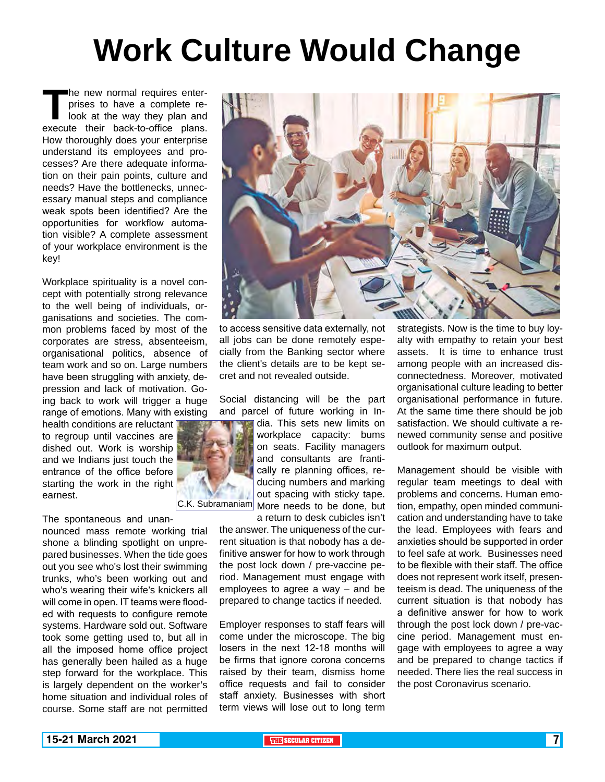# **Work Culture Would Change**

The new normal requires enter-<br>prises to have a complete re-<br>look at the way they plan and<br>execute their back-to-office plans. prises to have a complete relook at the way they plan and execute their back-to-office plans. How thoroughly does your enterprise understand its employees and processes? Are there adequate information on their pain points, culture and needs? Have the bottlenecks, unnecessary manual steps and compliance weak spots been identified? Are the opportunities for workflow automation visible? A complete assessment of your workplace environment is the key!

Workplace spirituality is a novel concept with potentially strong relevance to the well being of individuals, organisations and societies. The common problems faced by most of the corporates are stress, absenteeism, organisational politics, absence of team work and so on. Large numbers have been struggling with anxiety, depression and lack of motivation. Going back to work will trigger a huge range of emotions. Many with existing

health conditions are reluctant to regroup until vaccines are dished out. Work is worship and we Indians just touch the entrance of the office before starting the work in the right earnest.

#### The spontaneous and unan-

nounced mass remote working trial shone a blinding spotlight on unprepared businesses. When the tide goes out you see who's lost their swimming trunks, who's been working out and who's wearing their wife's knickers all will come in open. IT teams were flooded with requests to configure remote systems. Hardware sold out. Software took some getting used to, but all in all the imposed home office project has generally been hailed as a huge step forward for the workplace. This is largely dependent on the worker's home situation and individual roles of course. Some staff are not permitted



to access sensitive data externally, not all jobs can be done remotely especially from the Banking sector where the client's details are to be kept secret and not revealed outside.

Social distancing will be the part and parcel of future working in In-

dia. This sets new limits on workplace capacity: bums on seats. Facility managers and consultants are frantically re planning offices, reducing numbers and marking out spacing with sticky tape. C.K. Subramaniam More needs to be done, but

> a return to desk cubicles isn't the answer. The uniqueness of the current situation is that nobody has a definitive answer for how to work through the post lock down / pre-vaccine period. Management must engage with employees to agree a way – and be prepared to change tactics if needed.

Employer responses to staff fears will come under the microscope. The big losers in the next 12-18 months will be firms that ignore corona concerns raised by their team, dismiss home office requests and fail to consider staff anxiety. Businesses with short term views will lose out to long term

strategists. Now is the time to buy loyalty with empathy to retain your best assets. It is time to enhance trust among people with an increased disconnectedness. Moreover, motivated organisational culture leading to better organisational performance in future. At the same time there should be job satisfaction. We should cultivate a renewed community sense and positive outlook for maximum output.

Management should be visible with regular team meetings to deal with problems and concerns. Human emotion, empathy, open minded communication and understanding have to take the lead. Employees with fears and anxieties should be supported in order to feel safe at work. Businesses need to be flexible with their staff. The office does not represent work itself, presenteeism is dead. The uniqueness of the current situation is that nobody has a definitive answer for how to work through the post lock down / pre-vaccine period. Management must engage with employees to agree a way and be prepared to change tactics if needed. There lies the real success in the post Coronavirus scenario.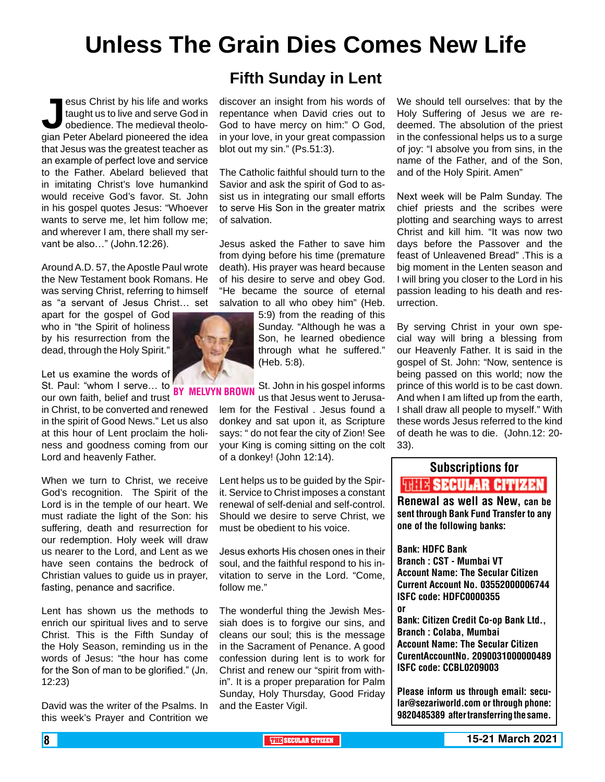# **Unless The Grain Dies Comes New Life**

**Jesus Christ by his life and works<br>taught us to live and serve God in<br>obedience. The medieval theologian Peter Abelard pioneered the idea** taught us to live and serve God in obedience. The medieval theolothat Jesus was the greatest teacher as an example of perfect love and service to the Father. Abelard believed that in imitating Christ's love humankind would receive God's favor. St. John in his gospel quotes Jesus: "Whoever wants to serve me, let him follow me; and wherever I am, there shall my servant be also..." (John.12:26).

Around A.D. 57, the Apostle Paul wrote the New Testament book Romans. He was serving Christ, referring to himself as "a servant of Jesus Christ… set

apart for the gospel of God who in "the Spirit of holiness by his resurrection from the dead, through the Holy Spirit."

Let us examine the words of St. Paul: "whom I serve... to **BY MELVYN BR**<br>Sur sum foith, bolief and trust **BY MELVYN BR** 

our own faith, belief and trust in Christ, to be converted and renewed in the spirit of Good News." Let us also at this hour of Lent proclaim the holiness and goodness coming from our Lord and heavenly Father.

When we turn to Christ, we receive God's recognition. The Spirit of the Lord is in the temple of our heart. We must radiate the light of the Son: his suffering, death and resurrection for our redemption. Holy week will draw us nearer to the Lord, and Lent as we have seen contains the bedrock of Christian values to guide us in prayer, fasting, penance and sacrifice.

Lent has shown us the methods to enrich our spiritual lives and to serve Christ. This is the Fifth Sunday of the Holy Season, reminding us in the words of Jesus: "the hour has come for the Son of man to be glorified." (Jn. 12:23)

David was the writer of the Psalms. In this week's Prayer and Contrition we

### **Fifth Sunday in Lent**

discover an insight from his words of repentance when David cries out to God to have mercy on him:" O God, in your love, in your great compassion blot out my sin." (Ps.51:3).

The Catholic faithful should turn to the Savior and ask the spirit of God to assist us in integrating our small efforts to serve His Son in the greater matrix of salvation.

Jesus asked the Father to save him from dying before his time (premature death). His prayer was heard because of his desire to serve and obey God. "He became the source of eternal salvation to all who obey him" (Heb.

> 5:9) from the reading of this Sunday. "Although he was a Son, he learned obedience through what he suffered." (Heb. 5:8).

St. John in his gospel informs us that Jesus went to Jerusalem for the Festival . Jesus found a donkey and sat upon it, as Scripture says: " do not fear the city of Zion! See your King is coming sitting on the colt

Lent helps us to be guided by the Spirit. Service to Christ imposes a constant renewal of self-denial and self-control. Should we desire to serve Christ, we must be obedient to his voice.

of a donkey! (John 12:14).

Jesus exhorts His chosen ones in their soul, and the faithful respond to his invitation to serve in the Lord. "Come, follow me."

The wonderful thing the Jewish Messiah does is to forgive our sins, and cleans our soul; this is the message in the Sacrament of Penance. A good confession during lent is to work for Christ and renew our "spirit from within". It is a proper preparation for Palm Sunday, Holy Thursday, Good Friday and the Easter Vigil.

We should tell ourselves: that by the Holy Suffering of Jesus we are redeemed. The absolution of the priest in the confessional helps us to a surge of joy: "I absolve you from sins, in the name of the Father, and of the Son, and of the Holy Spirit. Amen"

Next week will be Palm Sunday. The chief priests and the scribes were plotting and searching ways to arrest Christ and kill him. "It was now two days before the Passover and the feast of Unleavened Bread" .This is a big moment in the Lenten season and I will bring you closer to the Lord in his passion leading to his death and resurrection.

By serving Christ in your own special way will bring a blessing from our Heavenly Father. It is said in the gospel of St. John: "Now, sentence is being passed on this world; now the prince of this world is to be cast down. And when I am lifted up from the earth, I shall draw all people to myself." With these words Jesus referred to the kind of death he was to die. (John.12: 20- 33).

## Subscriptions for **THIT'S SECULAR CITIZEN**<br>Renewal as well as New, can be

sent through Bank Fund Transfer to any one of the following banks:

Bank: HDFC Bank Branch : CST - Mumbai VT Account Name: The Secular Citizen Current Account No. 03552000006744 ISFC code: HDFC0000355 or

Bank: Citizen Credit Co-op Bank Ltd., Branch : Colaba, Mumbai Account Name: The Secular Citizen CurentAccountNo. 2090031000000489 ISFC code: CCBL0209003

Please inform us through email: secular@sezariworld.com or through phone: 9820485389 after transferring the same.

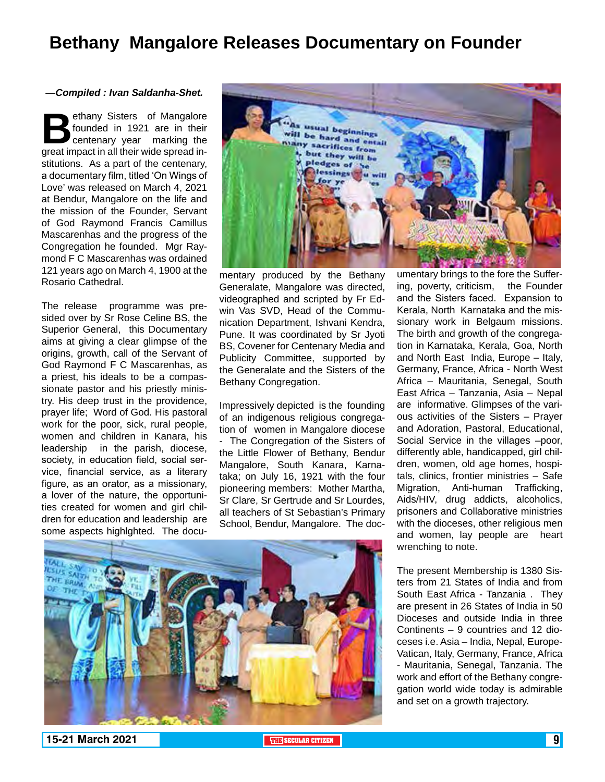### **Bethany Mangalore Releases Documentary on Founder**

#### *—Compiled : Ivan Saldanha-Shet.*

ethany Sisters of Mangalore<br>founded in 1921 are in their<br>centenary year marking the<br>great impact in all their wide spread infounded in 1921 are in their centenary year marking the great impact in all their wide spread institutions. As a part of the centenary, a documentary film, titled 'On Wings of Love' was released on March 4, 2021 at Bendur, Mangalore on the life and the mission of the Founder, Servant of God Raymond Francis Camillus Mascarenhas and the progress of the Congregation he founded. Mgr Raymond F C Mascarenhas was ordained 121 years ago on March 4, 1900 at the Rosario Cathedral.

The release programme was presided over by Sr Rose Celine BS, the Superior General, this Documentary aims at giving a clear glimpse of the origins, growth, call of the Servant of God Raymond F C Mascarenhas, as a priest, his ideals to be a compassionate pastor and his priestly ministry. His deep trust in the providence, prayer life; Word of God. His pastoral work for the poor, sick, rural people, women and children in Kanara, his leadership in the parish, diocese, society, in education field, social service, financial service, as a literary figure, as an orator, as a missionary, a lover of the nature, the opportunities created for women and girl children for education and leadership are some aspects highlghted. The docu-



mentary produced by the Bethany Generalate, Mangalore was directed, videographed and scripted by Fr Edwin Vas SVD, Head of the Communication Department, Ishvani Kendra, Pune. It was coordinated by Sr Jyoti BS, Covener for Centenary Media and Publicity Committee, supported by the Generalate and the Sisters of the Bethany Congregation.

Impressively depicted is the founding of an indigenous religious congregation of women in Mangalore diocese - The Congregation of the Sisters of the Little Flower of Bethany, Bendur Mangalore, South Kanara, Karnataka; on July 16, 1921 with the four pioneering members: Mother Martha, Sr Clare, Sr Gertrude and Sr Lourdes, all teachers of St Sebastian's Primary School, Bendur, Mangalore. The documentary brings to the fore the Suffering, poverty, criticism, the Founder and the Sisters faced. Expansion to Kerala, North Karnataka and the missionary work in Belgaum missions. The birth and growth of the congregation in Karnataka, Kerala, Goa, North and North East India, Europe – Italy, Germany, France, Africa - North West Africa – Mauritania, Senegal, South East Africa – Tanzania, Asia – Nepal are informative. Glimpses of the various activities of the Sisters – Prayer and Adoration, Pastoral, Educational, Social Service in the villages –poor, differently able, handicapped, girl children, women, old age homes, hospitals, clinics, frontier ministries – Safe Migration, Anti-human Trafficking, Aids/HIV, drug addicts, alcoholics, prisoners and Collaborative ministries with the dioceses, other religious men and women, lay people are heart wrenching to note.

The present Membership is 1380 Sisters from 21 States of India and from South East Africa - Tanzania . They are present in 26 States of India in 50 Dioceses and outside India in three Continents – 9 countries and 12 dioceses i.e. Asia – India, Nepal, Europe-Vatican, Italy, Germany, France, Africa - Mauritania, Senegal, Tanzania. The work and effort of the Bethany congregation world wide today is admirable and set on a growth trajectory.



**15-21 March 2021 The Contract of the SECULAR CITIZEN 15-21 March 2021 9**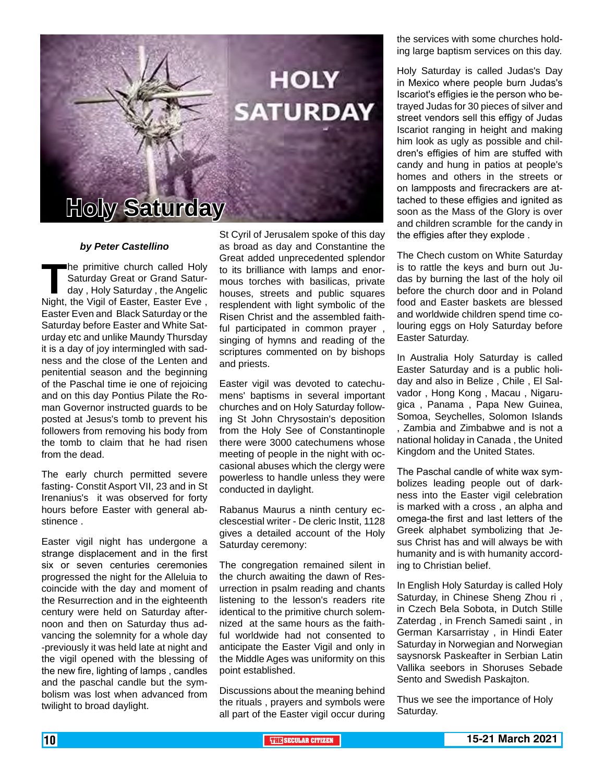

#### *by Peter Castellino*

The primitive church called Holy<br>
Saturday Great or Grand Satur-<br>
day , Holy Saturday , the Angelic<br>
Night, the Vigil of Easter, Easter Eve , Saturday Great or Grand Saturday , Holy Saturday , the Angelic Easter Even and Black Saturday or the Saturday before Easter and White Saturday etc and unlike Maundy Thursday it is a day of joy intermingled with sadness and the close of the Lenten and penitential season and the beginning of the Paschal time ie one of rejoicing and on this day Pontius Pilate the Roman Governor instructed guards to be posted at Jesus's tomb to prevent his followers from removing his body from the tomb to claim that he had risen from the dead.

The early church permitted severe fasting- Constit Asport VII, 23 and in St Irenanius's it was observed for forty hours before Easter with general abstinence .

Easter vigil night has undergone a strange displacement and in the first six or seven centuries ceremonies progressed the night for the Alleluia to coincide with the day and moment of the Resurrection and in the eighteenth century were held on Saturday afternoon and then on Saturday thus advancing the solemnity for a whole day -previously it was held late at night and the vigil opened with the blessing of the new fire, lighting of lamps , candles and the paschal candle but the symbolism was lost when advanced from twilight to broad daylight.

St Cyril of Jerusalem spoke of this day as broad as day and Constantine the Great added unprecedented splendor to its brilliance with lamps and enormous torches with basilicas, private houses, streets and public squares resplendent with light symbolic of the Risen Christ and the assembled faithful participated in common prayer , singing of hymns and reading of the scriptures commented on by bishops and priests.

Easter vigil was devoted to catechumens' baptisms in several important churches and on Holy Saturday following St John Chrysostain's deposition from the Holy See of Constantinople there were 3000 catechumens whose meeting of people in the night with occasional abuses which the clergy were powerless to handle unless they were conducted in daylight.

Rabanus Maurus a ninth century ecclescestial writer - De cleric Instit, 1128 gives a detailed account of the Holy Saturday ceremony:

The congregation remained silent in the church awaiting the dawn of Resurrection in psalm reading and chants listening to the lesson's readers rite identical to the primitive church solemnized at the same hours as the faithful worldwide had not consented to anticipate the Easter Vigil and only in the Middle Ages was uniformity on this point established.

Discussions about the meaning behind the rituals , prayers and symbols were all part of the Easter vigil occur during

the services with some churches holding large baptism services on this day.

Holy Saturday is called Judas's Day in Mexico where people burn Judas's Iscariot's effigies ie the person who betrayed Judas for 30 pieces of silver and street vendors sell this effigy of Judas Iscariot ranging in height and making him look as ugly as possible and children's effigies of him are stuffed with candy and hung in patios at people's homes and others in the streets or on lampposts and firecrackers are attached to these effigies and ignited as soon as the Mass of the Glory is over and children scramble for the candy in the effigies after they explode .

The Chech custom on White Saturday is to rattle the keys and burn out Judas by burning the last of the holy oil before the church door and in Poland food and Easter baskets are blessed and worldwide children spend time colouring eggs on Holy Saturday before Easter Saturday.

In Australia Holy Saturday is called Easter Saturday and is a public holiday and also in Belize , Chile , El Salvador , Hong Kong , Macau , Nigarugica , Panama , Papa New Guinea, Somoa, Seychelles, Solomon Islands , Zambia and Zimbabwe and is not a national holiday in Canada , the United Kingdom and the United States.

The Paschal candle of white wax symbolizes leading people out of darkness into the Easter vigil celebration is marked with a cross , an alpha and omega-the first and last letters of the Greek alphabet symbolizing that Jesus Christ has and will always be with humanity and is with humanity according to Christian belief.

In English Holy Saturday is called Holy Saturday, in Chinese Sheng Zhou ri , in Czech Bela Sobota, in Dutch Stille Zaterdag , in French Samedi saint , in German Karsarristay , in Hindi Eater Saturday in Norwegian and Norwegian saysnorsk Paskeafter in Serbian Latin Vallika seebors in Shoruses Sebade Sento and Swedish Paskajton.

Thus we see the importance of Holy Saturday.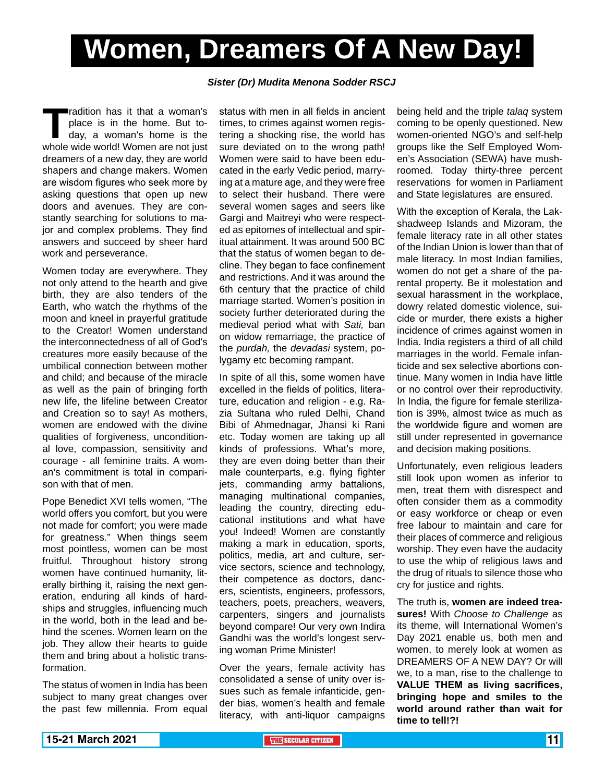# **Women, Dreamers Of A New Day!**

### *Sister (Dr) Mudita Menona Sodder RSCJ*

**Tradition has it that a woman's place is in the home. But to-<br>day, a woman's home is the whole wide world! Women are not just** place is in the home. But today, a woman's home is the dreamers of a new day, they are world shapers and change makers. Women are wisdom figures who seek more by asking questions that open up new doors and avenues. They are constantly searching for solutions to major and complex problems. They find answers and succeed by sheer hard work and perseverance.

Women today are everywhere. They not only attend to the hearth and give birth, they are also tenders of the Earth, who watch the rhythms of the moon and kneel in prayerful gratitude to the Creator! Women understand the interconnectedness of all of God's creatures more easily because of the umbilical connection between mother and child; and because of the miracle as well as the pain of bringing forth new life, the lifeline between Creator and Creation so to say! As mothers, women are endowed with the divine qualities of forgiveness, unconditional love, compassion, sensitivity and courage - all feminine traits. A woman's commitment is total in comparison with that of men.

Pope Benedict XVI tells women, "The world offers you comfort, but you were not made for comfort; you were made for greatness." When things seem most pointless, women can be most fruitful. Throughout history strong women have continued humanity, literally birthing it, raising the next generation, enduring all kinds of hardships and struggles, influencing much in the world, both in the lead and behind the scenes. Women learn on the job. They allow their hearts to guide them and bring about a holistic transformation.

The status of women in India has been subject to many great changes over the past few millennia. From equal status with men in all fields in ancient times, to crimes against women registering a shocking rise, the world has sure deviated on to the wrong path! Women were said to have been educated in the early Vedic period, marrying at a mature age, and they were free to select their husband. There were several women sages and seers like Gargi and Maitreyi who were respected as epitomes of intellectual and spiritual attainment. It was around 500 BC that the status of women began to decline. They began to face confinement and restrictions. And it was around the 6th century that the practice of child marriage started. Women's position in society further deteriorated during the medieval period what with *Sati,* ban on widow remarriage, the practice of the *purdah,* the *devadasi* system, polygamy etc becoming rampant.

In spite of all this, some women have excelled in the fields of politics, literature, education and religion - e.g. Razia Sultana who ruled Delhi, Chand Bibi of Ahmednagar, Jhansi ki Rani etc. Today women are taking up all kinds of professions. What's more, they are even doing better than their male counterparts, e.g. flying fighter jets, commanding army battalions, managing multinational companies, leading the country, directing educational institutions and what have you! Indeed! Women are constantly making a mark in education, sports, politics, media, art and culture, service sectors, science and technology, their competence as doctors, dancers, scientists, engineers, professors, teachers, poets, preachers, weavers, carpenters, singers and journalists beyond compare! Our very own Indira Gandhi was the world's longest serving woman Prime Minister!

Over the years, female activity has consolidated a sense of unity over issues such as female infanticide, gender bias, women's health and female literacy, with anti-liquor campaigns

being held and the triple *talaq* system coming to be openly questioned. New women-oriented NGO's and self-help groups like the Self Employed Women's Association (SEWA) have mushroomed. Today thirty-three percent reservations for women in Parliament and State legislatures are ensured.

With the exception of Kerala, the Lakshadweep Islands and Mizoram, the female literacy rate in all other states of the Indian Union is lower than that of male literacy. In most Indian families, women do not get a share of the parental property. Be it molestation and sexual harassment in the workplace, dowry related domestic violence, suicide or murder, there exists a higher incidence of crimes against women in India. India registers a third of all child marriages in the world. Female infanticide and sex selective abortions continue. Many women in India have little or no control over their reproductivity. In India, the figure for female sterilization is 39%, almost twice as much as the worldwide figure and women are still under represented in governance and decision making positions.

Unfortunately, even religious leaders still look upon women as inferior to men, treat them with disrespect and often consider them as a commodity or easy workforce or cheap or even free labour to maintain and care for their places of commerce and religious worship. They even have the audacity to use the whip of religious laws and the drug of rituals to silence those who cry for justice and rights.

The truth is, **women are indeed treasures!** With *Choose to Challenge* as its theme, will International Women's Day 2021 enable us, both men and women, to merely look at women as DREAMERS OF A NEW DAY? Or will we, to a man, rise to the challenge to **VALUE THEM as living sacrifices, bringing hope and smiles to the world around rather than wait for time to tell!?!**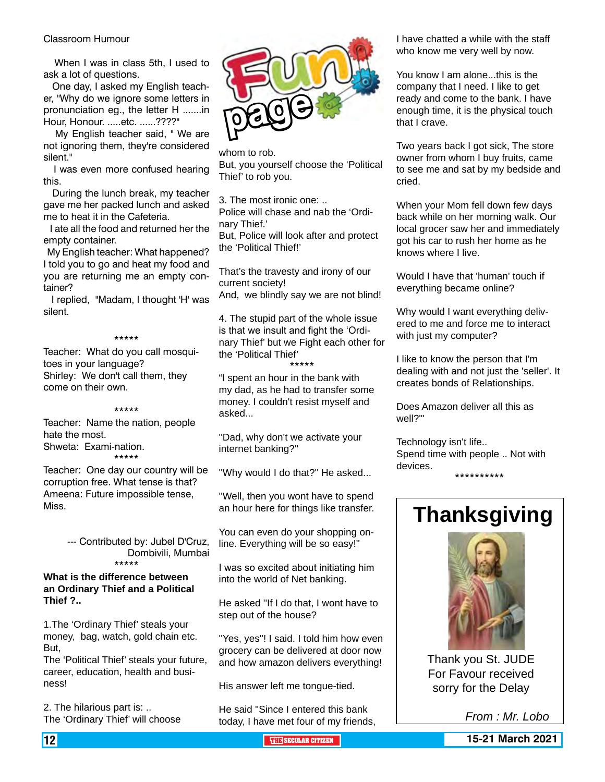#### Classroom Humour

When I was in class 5th. I used to ask a lot of questions.

 One day, I asked my English teacher, "Why do we ignore some letters in pronunciation eg., the letter H .......in Hour, Honour. .....etc. ......????"

 My English teacher said, " We are not ignoring them, they're considered silent."

 I was even more confused hearing this.

 During the lunch break, my teacher gave me her packed lunch and asked me to heat it in the Cafeteria.

 I ate all the food and returned her the empty container.

 My English teacher: What happened? I told you to go and heat my food and you are returning me an empty container?

 I replied, "Madam, I thought 'H' was silent.

### \*\*\*\*\*

Teacher: What do you call mosquitoes in your language? Shirley: We don't call them, they come on their own.

#### \*\*\*\*\*

Teacher: Name the nation, people hate the most. Shweta: Exami-nation.

\*\*\*\*\*

Teacher: One day our country will be corruption free. What tense is that? Ameena: Future impossible tense, Miss.

> --- Contributed by: Jubel D'Cruz, Dombivili, Mumbai \*\*\*\*\*

### **What is the difference between an Ordinary Thief and a Political Thief ?..**

1.The 'Ordinary Thief' steals your money, bag, watch, gold chain etc. But,

The 'Political Thief' steals your future, career, education, health and business!

2. The hilarious part is: .. The 'Ordinary Thief' will choose



whom to rob. But, you yourself choose the 'Political Thief' to rob you.

3. The most ironic one: ..

Police will chase and nab the 'Ordinary Thief.'

But, Police will look after and protect the 'Political Thief!'

That's the travesty and irony of our current society!

And, we blindly say we are not blind!

4. The stupid part of the whole issue is that we insult and fight the 'Ordinary Thief' but we Fight each other for the 'Political Thief'

\*\*\*\*\* "I spent an hour in the bank with my dad, as he had to transfer some money. I couldn't resist myself and asked...

''Dad, why don't we activate your internet banking?''

''Why would I do that?'' He asked...

''Well, then you wont have to spend an hour here for things like transfer.

You can even do your shopping online. Everything will be so easy!''

I was so excited about initiating him into the world of Net banking.

He asked ''If I do that, I wont have to step out of the house?

''Yes, yes''! I said. I told him how even grocery can be delivered at door now and how amazon delivers everything!

His answer left me tongue-tied.

He said ''Since I entered this bank today, I have met four of my friends, I have chatted a while with the staff who know me very well by now.

You know I am alone...this is the company that I need. I like to get ready and come to the bank. I have enough time, it is the physical touch that I crave.

Two years back I got sick, The store owner from whom I buy fruits, came to see me and sat by my bedside and cried.

When your Mom fell down few days back while on her morning walk. Our local grocer saw her and immediately got his car to rush her home as he knows where I live.

Would I have that 'human' touch if everything became online?

Why would I want everything delivered to me and force me to interact with just my computer?

I like to know the person that I'm dealing with and not just the 'seller'. It creates bonds of Relationships.

Does Amazon deliver all this as well?'''

Technology isn't life.. Spend time with people .. Not with devices. \*\*\*\*\*\*\*\*\*\*

## **Thanksgiving**



Thank you St. JUDE For Favour received sorry for the Delay

*From : Mr. Lobo*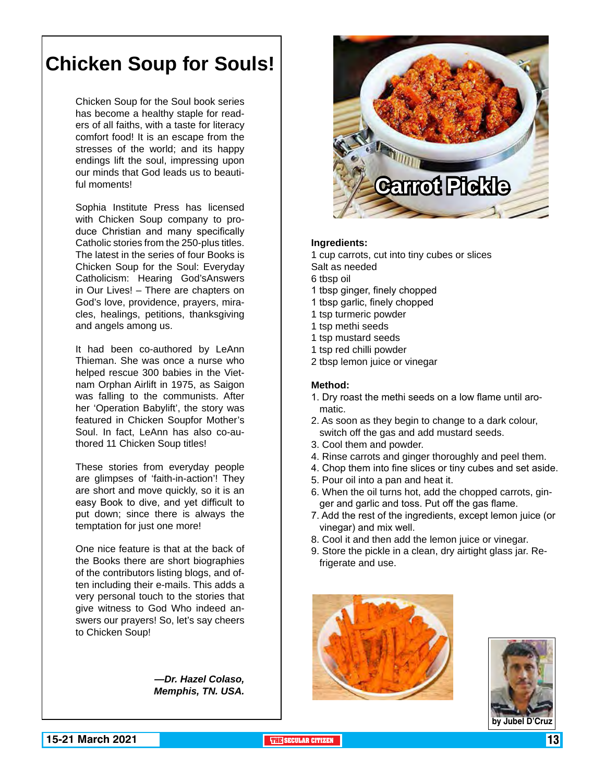## **Chicken Soup for Souls!**

Chicken Soup for the Soul book series has become a healthy staple for readers of all faiths, with a taste for literacy comfort food! It is an escape from the stresses of the world; and its happy endings lift the soul, impressing upon our minds that God leads us to beautiful moments!

Sophia Institute Press has licensed with Chicken Soup company to produce Christian and many specifically Catholic stories from the 250-plus titles. The latest in the series of four Books is Chicken Soup for the Soul: Everyday Catholicism: Hearing God'sAnswers in Our Lives! – There are chapters on God's love, providence, prayers, miracles, healings, petitions, thanksgiving and angels among us.

It had been co-authored by LeAnn Thieman. She was once a nurse who helped rescue 300 babies in the Vietnam Orphan Airlift in 1975, as Saigon was falling to the communists. After her 'Operation Babylift', the story was featured in Chicken Soupfor Mother's Soul. In fact, LeAnn has also co-authored 11 Chicken Soup titles!

These stories from everyday people are glimpses of 'faith-in-action'! They are short and move quickly, so it is an easy Book to dive, and yet difficult to put down; since there is always the temptation for just one more!

One nice feature is that at the back of the Books there are short biographies of the contributors listing blogs, and often including their e-mails. This adds a very personal touch to the stories that give witness to God Who indeed answers our prayers! So, let's say cheers to Chicken Soup!

> *—Dr. Hazel Colaso, Memphis, TN. USA.*



#### **Ingredients:**

1 cup carrots, cut into tiny cubes or slices Salt as needed

- 6 tbsp oil
- 1 tbsp ginger, finely chopped
- 1 tbsp garlic, finely chopped
- 1 tsp turmeric powder
- 1 tsp methi seeds
- 1 tsp mustard seeds
- 1 tsp red chilli powder
- 2 tbsp lemon juice or vinegar

#### **Method:**

- 1. Dry roast the methi seeds on a low flame until aromatic.
- 2. As soon as they begin to change to a dark colour, switch off the gas and add mustard seeds.
- 3. Cool them and powder.
- 4. Rinse carrots and ginger thoroughly and peel them.
- 4. Chop them into fine slices or tiny cubes and set aside.
- 5. Pour oil into a pan and heat it.
- 6. When the oil turns hot, add the chopped carrots, ginger and garlic and toss. Put off the gas flame.
- 7. Add the rest of the ingredients, except lemon juice (or vinegar) and mix well.
- 8. Cool it and then add the lemon juice or vinegar.
- 9. Store the pickle in a clean, dry airtight glass jar. Refrigerate and use.



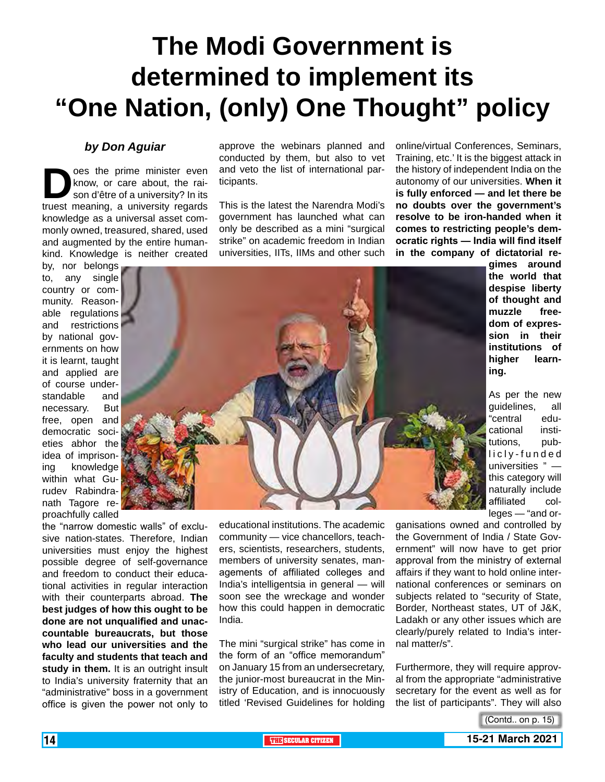# **The Modi Government is determined to implement its "One Nation, (only) One Thought" policy**

### *by Don Aguiar*

**Does the prime minister even**<br>know, or care about, the raison d'être of a university? In its<br>truest meaning, a university regards know, or care about, the raison d'être of a university? In its truest meaning, a university regards knowledge as a universal asset commonly owned, treasured, shared, used and augmented by the entire humankind. Knowledge is neither created

by, nor belongs to, any single country or community. Reasonable regulations and restrictions by national governments on how it is learnt, taught and applied are of course understandable and necessary. But free, open and democratic societies abhor the idea of imprisoning knowledge within what Gurudev Rabindranath Tagore reproachfully called

the "narrow domestic walls" of exclusive nation-states. Therefore, Indian universities must enjoy the highest possible degree of self-governance and freedom to conduct their educational activities in regular interaction with their counterparts abroad. **The best judges of how this ought to be done are not unqualified and unaccountable bureaucrats, but those who lead our universities and the faculty and students that teach and**  study in them. It is an outright insult to India's university fraternity that an "administrative" boss in a government office is given the power not only to

approve the webinars planned and conducted by them, but also to vet and veto the list of international participants.

This is the latest the Narendra Modi's government has launched what can only be described as a mini "surgical strike" on academic freedom in Indian universities, IITs, IIMs and other such online/virtual Conferences, Seminars, Training, etc.' It is the biggest attack in the history of independent India on the autonomy of our universities. **When it is fully enforced — and let there be no doubts over the government's resolve to be iron-handed when it comes to restricting people's democratic rights — India will find itself in the company of dictatorial re-**



**gimes around the world that despise liberty of thought and muzzle freedom of expression in their institutions of higher learning.**

As per the new guidelines, all "central educational institutions, publicly-funded universities " this category will naturally include affiliated colleges — "and or-

educational institutions. The academic community — vice chancellors, teachers, scientists, researchers, students, members of university senates, managements of affiliated colleges and India's intelligentsia in general — will soon see the wreckage and wonder how this could happen in democratic India.

The mini "surgical strike" has come in the form of an "office memorandum" on January 15 from an undersecretary, the junior-most bureaucrat in the Ministry of Education, and is innocuously titled 'Revised Guidelines for holding

ganisations owned and controlled by the Government of India / State Government" will now have to get prior approval from the ministry of external affairs if they want to hold online international conferences or seminars on subjects related to "security of State, Border, Northeast states, UT of J&K, Ladakh or any other issues which are clearly/purely related to India's internal matter/s".

Furthermore, they will require approval from the appropriate "administrative secretary for the event as well as for the list of participants". They will also

<sup>(</sup>Contd.. on p. 15)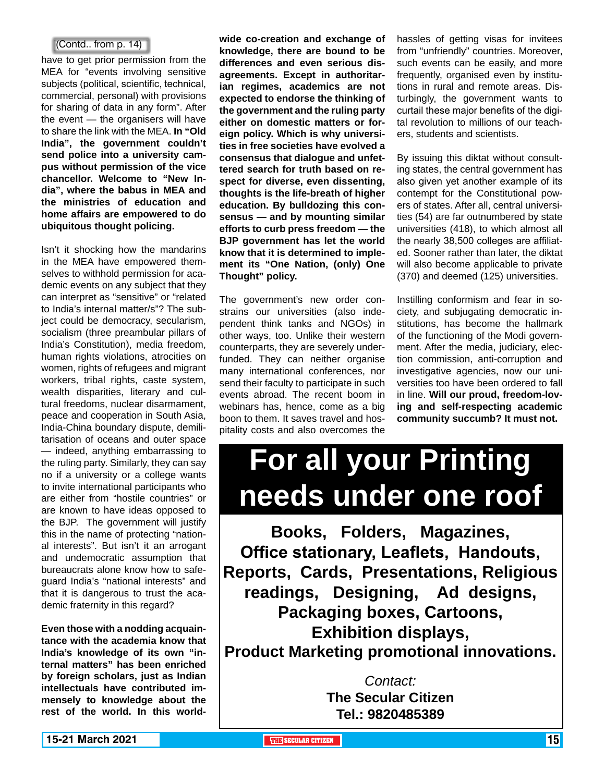### (Contd.. from p. 14)

have to get prior permission from the MEA for "events involving sensitive subjects (political, scientific, technical, commercial, personal) with provisions for sharing of data in any form". After the event — the organisers will have to share the link with the MEA. **In "Old India", the government couldn't send police into a university campus without permission of the vice chancellor. Welcome to "New India", where the babus in MEA and the ministries of education and home affairs are empowered to do ubiquitous thought policing.**

Isn't it shocking how the mandarins in the MEA have empowered themselves to withhold permission for academic events on any subject that they can interpret as "sensitive" or "related to India's internal matter/s"? The subject could be democracy, secularism, socialism (three preambular pillars of India's Constitution), media freedom, human rights violations, atrocities on women, rights of refugees and migrant workers, tribal rights, caste system, wealth disparities, literary and cultural freedoms, nuclear disarmament, peace and cooperation in South Asia, India-China boundary dispute, demilitarisation of oceans and outer space — indeed, anything embarrassing to the ruling party. Similarly, they can say no if a university or a college wants to invite international participants who are either from "hostile countries" or are known to have ideas opposed to the BJP. The government will justify this in the name of protecting "national interests". But isn't it an arrogant and undemocratic assumption that bureaucrats alone know how to safeguard India's "national interests" and that it is dangerous to trust the academic fraternity in this regard?

**Even those with a nodding acquaintance with the academia know that India's knowledge of its own "internal matters" has been enriched by foreign scholars, just as Indian intellectuals have contributed immensely to knowledge about the rest of the world. In this world-** **wide co-creation and exchange of knowledge, there are bound to be differences and even serious disagreements. Except in authoritarian regimes, academics are not expected to endorse the thinking of the government and the ruling party either on domestic matters or foreign policy. Which is why universities in free societies have evolved a consensus that dialogue and unfettered search for truth based on respect for diverse, even dissenting, thoughts is the life-breath of higher education. By bulldozing this consensus — and by mounting similar efforts to curb press freedom — the BJP government has let the world know that it is determined to implement its "One Nation, (only) One Thought" policy.**

The government's new order constrains our universities (also independent think tanks and NGOs) in other ways, too. Unlike their western counterparts, they are severely underfunded. They can neither organise many international conferences, nor send their faculty to participate in such events abroad. The recent boom in webinars has, hence, come as a big boon to them. It saves travel and hospitality costs and also overcomes the

hassles of getting visas for invitees from "unfriendly" countries. Moreover, such events can be easily, and more frequently, organised even by institutions in rural and remote areas. Disturbingly, the government wants to curtail these major benefits of the digital revolution to millions of our teachers, students and scientists.

By issuing this diktat without consulting states, the central government has also given yet another example of its contempt for the Constitutional powers of states. After all, central universities (54) are far outnumbered by state universities (418), to which almost all the nearly 38,500 colleges are affiliated. Sooner rather than later, the diktat will also become applicable to private (370) and deemed (125) universities.

Instilling conformism and fear in society, and subjugating democratic institutions, has become the hallmark of the functioning of the Modi government. After the media, judiciary, election commission, anti-corruption and investigative agencies, now our universities too have been ordered to fall in line. **Will our proud, freedom-loving and self-respecting academic community succumb? It must not.**

# **For all your Printing needs under one roof**

**Books, Folders, Magazines, Office stationary, Leaflets, Handouts, Reports, Cards, Presentations, Religious readings, Designing, Ad designs, Packaging boxes, Cartoons, Exhibition displays, Product Marketing promotional innovations.**

> *Contact:* **The Secular Citizen Tel.: 9820485389**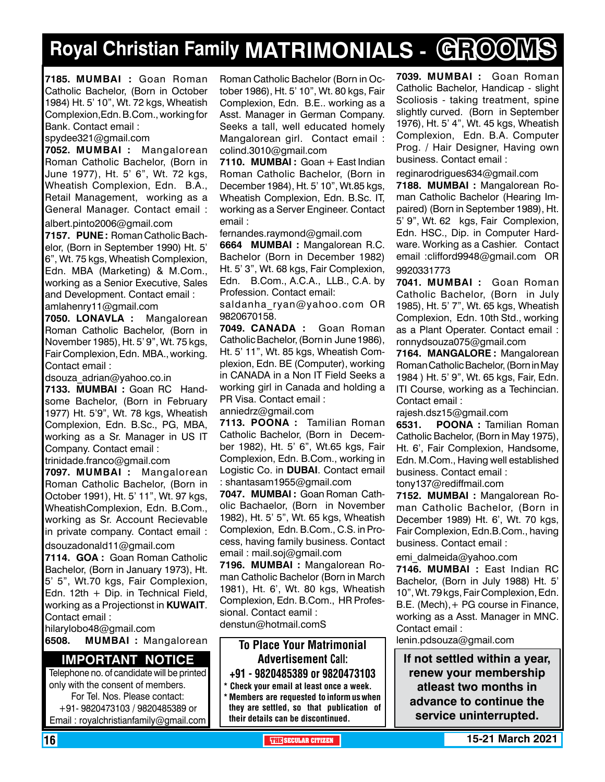# **Royal Christian Family MATRIMONIALS - GROOMS**

**7185. MUMBAI :** Goan Roman Catholic Bachelor, (Born in October 1984) Ht. 5' 10", Wt. 72 kgs, Wheatish Complexion,Edn. B.Com., working for Bank. Contact email :

spydee321@gmail.com

**7052. MUMBAI :** Mangalorean Roman Catholic Bachelor, (Born in June 1977), Ht. 5' 6", Wt. 72 kgs, Wheatish Complexion, Edn. B.A., Retail Management, working as a General Manager. Contact email :

albert.pinto2006@gmail.com

**7157. PUNE :** Roman Catholic Bachelor, (Born in September 1990) Ht. 5' 6", Wt. 75 kgs, Wheatish Complexion, Edn. MBA (Marketing) & M.Com., working as a Senior Executive, Sales and Development. Contact email : amlahenry11@gmail.com

**7050. LONAVLA :** Mangalorean Roman Catholic Bachelor, (Born in November 1985), Ht. 5' 9", Wt. 75 kgs, Fair Complexion, Edn. MBA., working. Contact email :

dsouza adrian@yahoo.co.in

**7133. MUMBAI :** Goan RC Handsome Bachelor, (Born in February 1977) Ht. 5'9", Wt. 78 kgs, Wheatish Complexion, Edn. B.Sc., PG, MBA, working as a Sr. Manager in US IT Company. Contact email :

trinidade.franco@gmail.com

**7097. MUMBAI :** Mangalorean Roman Catholic Bachelor, (Born in October 1991), Ht. 5' 11", Wt. 97 kgs, WheatishComplexion, Edn. B.Com., working as Sr. Account Recievable in private company. Contact email :

dsouzadonald11@gmail.com

**7114. GOA :** Goan Roman Catholic Bachelor, (Born in January 1973), Ht. 5' 5", Wt.70 kgs, Fair Complexion, Edn. 12th  $+$  Dip. in Technical Field, working as a Projectionst in **KUWAIT**. Contact email :

hilarylobo48@gmail.com

**6508. MUMBAI :** Mangalorean

### **Important Notice**

Telephone no. of candidate will be printed only with the consent of members. For Tel. Nos. Please contact: +91- 9820473103 / 9820485389 or Email : royalchristianfamily@gmail.com

Roman Catholic Bachelor (Born in October 1986), Ht. 5' 10", Wt. 80 kgs, Fair Complexion, Edn. B.E.. working as a Asst. Manager in German Company. Seeks a tall, well educated homely Mangalorean girl. Contact email : colind.3010@gmail.com

**7110. MUMBAI :** Goan + East Indian Roman Catholic Bachelor, (Born in December 1984), Ht. 5' 10", Wt.85 kgs, Wheatish Complexion, Edn. B.Sc. IT, working as a Server Engineer. Contact email :

fernandes.raymond@gmail.com

**6664 MUMBAI :** Mangalorean R.C. Bachelor (Born in December 1982) Ht. 5' 3", Wt. 68 kgs, Fair Complexion, Edn. B.Com., A.C.A., LLB., C.A. by Profession. Contact email:

saldanha ryan@yahoo.com OR 9820670158.

**7049. CANADA :** Goan Roman Catholic Bachelor, (Born in June 1986), Ht. 5' 11", Wt. 85 kgs, Wheatish Complexion, Edn. BE (Computer), working in CANADA in a Non IT Field Seeks a working girl in Canada and holding a PR Visa. Contact email :

anniedrz@gmail.com

**7113. POONA :** Tamilian Roman Catholic Bachelor, (Born in December 1982), Ht. 5' 6", Wt.65 kgs, Fair Complexion, Edn. B.Com., working in Logistic Co. in **DUBAI**. Contact email : shantasam1955@gmail.com

**7047. MUMBAI :** Goan Roman Catholic Bachaelor, (Born in November 1982), Ht. 5' 5", Wt. 65 kgs, Wheatish Complexion, Edn. B.Com., C.S. in Process, having family business. Contact email : mail.soj@gmail.com

**7196. MUMBAI :** Mangalorean Roman Catholic Bachelor (Born in March 1981), Ht. 6', Wt. 80 kgs, Wheatish Complexion, Edn. B.Com., HR Professional. Contact eamil : denstun@hotmail.comS

To Place Your Matrimonial Advertisement Call: +91 - 9820485389 or 9820473103 \* Check your email at least once a week.

\* Members are requested to inform us when they are settled, so that publication of their details can be discontinued.

**7039. MUMBAI :** Goan Roman Catholic Bachelor, Handicap - slight Scoliosis - taking treatment, spine slightly curved. (Born in September 1976), Ht. 5' 4", Wt. 45 kgs, Wheatish Complexion, Edn. B.A. Computer Prog. / Hair Designer, Having own business. Contact email :

reginarodrigues634@gmail.com

**7188. MUMBAI :** Mangalorean Roman Catholic Bachelor (Hearing Impaired) (Born in September 1989), Ht. 5' 9", Wt. 62 kgs, Fair Complexion, Edn. HSC., Dip. in Computer Hardware. Working as a Cashier. Contact email :clifford9948@gmail.com OR 9920331773

**7041. MUMBAI :** Goan Roman Catholic Bachelor, (Born in July 1985), Ht. 5' 7", Wt. 65 kgs, Wheatish Complexion, Edn. 10th Std., working as a Plant Operater. Contact email : ronnydsouza075@gmail.com

**7164. MANGALORE :** Mangalorean Roman Catholic Bachelor, (Born in May 1984 ) Ht. 5' 9", Wt. 65 kgs, Fair, Edn. ITI Course, working as a Techincian. Contact email :

rajesh.dsz15@gmail.com

**6531. POONA :** Tamilian Roman Catholic Bachelor, (Born in May 1975), Ht. 6', Fair Complexion, Handsome, Edn. M.Com., Having well established business. Contact email : tony137@rediffmail.com

**7152. MUMBAI :** Mangalorean Roman Catholic Bachelor, (Born in December 1989) Ht. 6', Wt. 70 kgs, Fair Complexion, Edn.B.Com., having business. Contact email :

emi\_dalmeida@yahoo.com

**7146. MUMBAI :** East Indian RC Bachelor, (Born in July 1988) Ht. 5' 10", Wt. 79 kgs, Fair Complexion, Edn. B.E. (Mech),+ PG course in Finance, working as a Asst. Manager in MNC. Contact email :

lenin.pdsouza@gmail.com

**If not settled within a year, renew your membership atleast two months in advance to continue the service uninterrupted.**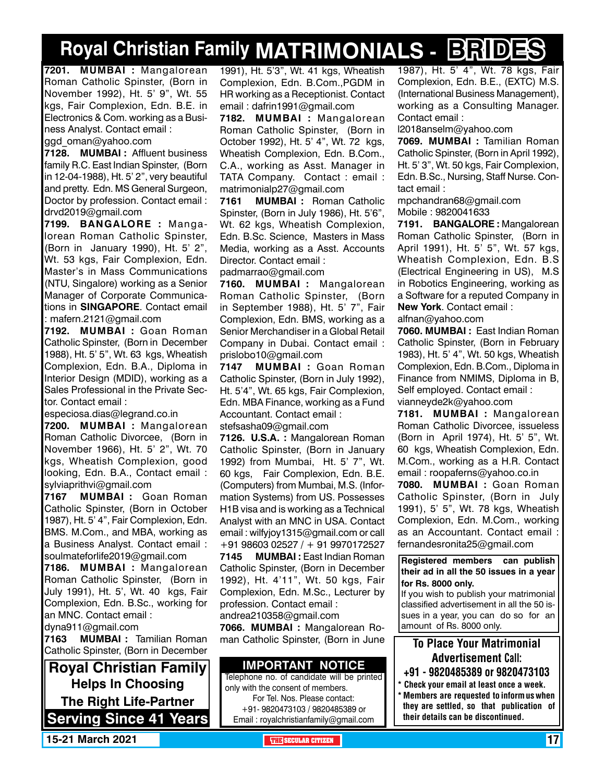# **Royal Christian Family MATRIMONIALS - BRIDES**

**7201. MUMBAI :** Mangalorean Roman Catholic Spinster, (Born in November 1992), Ht. 5' 9", Wt. 55 kgs, Fair Complexion, Edn. B.E. in Electronics & Com. working as a Business Analyst. Contact email : ggd\_oman@yahoo.com

**7128. MUMBAI :** Affluent business family R.C. East Indian Spinster, (Born in 12-04-1988), Ht. 5' 2", very beautiful and pretty. Edn. MS General Surgeon, Doctor by profession. Contact email : drvd2019@gmail.com

**7199. BANGALORE :** Mangalorean Roman Catholic Spinster, (Born in January 1990), Ht. 5' 2", Wt. 53 kgs, Fair Complexion, Edn. Master's in Mass Communications (NTU, Singalore) working as a Senior Manager of Corporate Communications in **SINGAPORE**. Contact email : mafern.2121@gmail.com

**7192. MUMBAI :** Goan Roman Catholic Spinster, (Born in December 1988), Ht. 5' 5", Wt. 63 kgs, Wheatish Complexion, Edn. B.A., Diploma in Interior Design (MDID), working as a Sales Professional in the Private Sector. Contact email :

especiosa.dias@legrand.co.in

**7200. MUMBAI :** Mangalorean Roman Catholic Divorcee, (Born in November 1966), Ht. 5' 2", Wt. 70 kgs, Wheatish Complexion, good looking, Edn. B.A., Contact email : sylviaprithvi@gmail.com

**7167 MUMBAI :** Goan Roman Catholic Spinster, (Born in October 1987), Ht. 5' 4", Fair Complexion, Edn. BMS. M.Com., and MBA, working as a Business Analyst. Contact email : soulmateforlife2019@gmail.com

**7186. MUMBAI :** Mangalorean Roman Catholic Spinster, (Born in July 1991), Ht. 5', Wt. 40 kgs, Fair Complexion, Edn. B.Sc., working for an MNC. Contact email : dyna911@gmail.com

**7163 MUMBAI :** Tamilian Roman Catholic Spinster, (Born in December

**Royal Christian Family Helps In Choosing The Right Life-Partner Serving Since 41 Years** 1991), Ht. 5'3", Wt. 41 kgs, Wheatish Complexion, Edn. B.Com.,PGDM in HR working as a Receptionist. Contact email : dafrin1991@gmail.com

**7182. MUMBAI :** Mangalorean Roman Catholic Spinster, (Born in October 1992), Ht. 5' 4", Wt. 72 kgs, Wheatish Complexion, Edn. B.Com., C.A., working as Asst. Manager in TATA Company. Contact : email : matrimonialp27@gmail.com

**7161 MUMBAI :** Roman Catholic Spinster, (Born in July 1986), Ht. 5'6", Wt. 62 kgs, Wheatish Complexion, Edn. B.Sc. Science, Masters in Mass Media, working as a Asst. Accounts Director. Contact email :

padmarrao@gmail.com

**7160. MUMBAI :** Mangalorean Roman Catholic Spinster, (Born in September 1988), Ht. 5' 7", Fair Complexion, Edn. BMS, working as a Senior Merchandiser in a Global Retail Company in Dubai. Contact email : prislobo10@gmail.com

**7147 MUMBAI :** Goan Roman Catholic Spinster, (Born in July 1992), Ht. 5'4", Wt. 65 kgs, Fair Complexion, Edn. MBA Finance, working as a Fund Accountant. Contact email :

stefsasha09@gmail.com

**7126. U.S.A. :** Mangalorean Roman Catholic Spinster, (Born in January 1992) from Mumbai, Ht. 5' 7", Wt. 60 kgs, Fair Complexion, Edn. B.E. (Computers) from Mumbai, M.S. (Information Systems) from US. Possesses H1B visa and is working as a Technical Analyst with an MNC in USA. Contact email : wilfyjoy1315@gmail.com or call +91 98603 02527 / + 91 9970172527

**7145 MUMBAI :** East Indian Roman Catholic Spinster, (Born in December 1992), Ht. 4'11", Wt. 50 kgs, Fair Complexion, Edn. M.Sc., Lecturer by profession. Contact email : andrea210358@gmail.com

**7066. MUMBAI :** Mangalorean Roman Catholic Spinster, (Born in June

### **Important Notice**

Telephone no. of candidate will be printed only with the consent of members. For Tel. Nos. Please contact: +91- 9820473103 / 9820485389 or Email : royalchristianfamily@gmail.com

1987), Ht. 5' 4", Wt. 78 kgs, Fair Complexion, Edn. B.E., (EXTC) M.S. (International Business Management), working as a Consulting Manager. Contact email :

l2018anselm@yahoo.com

**7069. MUMBAI :** Tamilian Roman Catholic Spinster, (Born in April 1992), Ht. 5' 3", Wt. 50 kgs, Fair Complexion, Edn. B.Sc., Nursing, Staff Nurse. Contact email :

mpchandran68@gmail.com Mobile : 9820041633

**7191. BANGALORE :** Mangalorean Roman Catholic Spinster, (Born in April 1991), Ht. 5' 5", Wt. 57 kgs, Wheatish Complexion, Edn. B.S (Electrical Engineering in US), M.S in Robotics Engineering, working as a Software for a reputed Company in **New York**. Contact email : alfnan@yahoo.com

**7060. MUMBAI :** East Indian Roman Catholic Spinster, (Born in February 1983), Ht. 5' 4", Wt. 50 kgs, Wheatish Complexion, Edn. B.Com., Diploma in Finance from NMIMS, Diploma in B, Self employed. Contact email : vianneyde2k@yahoo.com

**7181. MUMBAI :** Mangalorean Roman Catholic Divorcee, issueless (Born in April 1974), Ht. 5' 5", Wt. 60 kgs, Wheatish Complexion, Edn. M.Com., working as a H.R. Contact email : roopaferns@yahoo.co.in

**7080. MUMBAI :** Goan Roman Catholic Spinster, (Born in July 1991), 5' 5", Wt. 78 kgs, Wheatish Complexion, Edn. M.Com., working as an Accountant. Contact email : fernandesronita25@gmail.com

**Registered members can publish their ad in all the 50 issues in a year for Rs. 8000 only.**

If you wish to publish your matrimonial classified advertisement in all the 50 issues in a year, you can do so for an amount of Rs. 8000 only.

### To Place Your Matrimonial Advertisement Call:

- +91 9820485389 or 9820473103
- \* Check your email at least once a week. \* Members are requested to inform us when they are settled, so that publication of their details can be discontinued.

**15-21 March 2021 The Security of the SECULAR CITIZEN 17 And 2021 The SECULAR CITIZEN 17**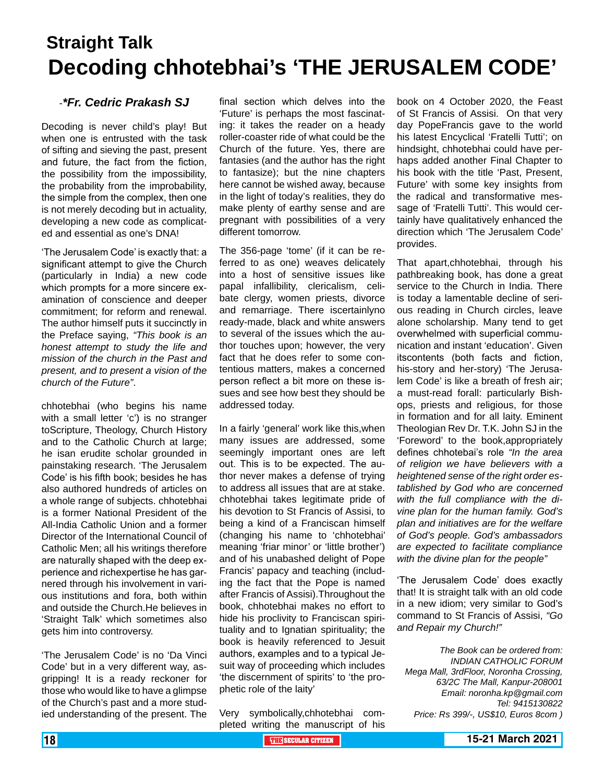## **Straight Talk Decoding chhotebhai's 'THE JERUSALEM CODE'**

### -*\*Fr. Cedric Prakash SJ*

Decoding is never child's play! But when one is entrusted with the task of sifting and sieving the past, present and future, the fact from the fiction, the possibility from the impossibility, the probability from the improbability, the simple from the complex, then one is not merely decoding but in actuality, developing a new code as complicated and essential as one's DNA!

'The Jerusalem Code' is exactly that: a significant attempt to give the Church (particularly in India) a new code which prompts for a more sincere examination of conscience and deeper commitment; for reform and renewal. The author himself puts it succinctly in the Preface saying, *"This book is an honest attempt to study the life and mission of the church in the Past and present, and to present a vision of the church of the Future"*.

chhotebhai (who begins his name with a small letter 'c') is no stranger toScripture, Theology, Church History and to the Catholic Church at large; he isan erudite scholar grounded in painstaking research. 'The Jerusalem Code' is his fifth book; besides he has also authored hundreds of articles on a whole range of subjects. chhotebhai is a former National President of the All-India Catholic Union and a former Director of the International Council of Catholic Men; all his writings therefore are naturally shaped with the deep experience and richexpertise he has garnered through his involvement in various institutions and fora, both within and outside the Church.He believes in 'Straight Talk' which sometimes also gets him into controversy.

'The Jerusalem Code' is no 'Da Vinci Code' but in a very different way, asgripping! It is a ready reckoner for those who would like to have a glimpse of the Church's past and a more studied understanding of the present. The

final section which delves into the 'Future' is perhaps the most fascinating: it takes the reader on a heady roller-coaster ride of what could be the Church of the future. Yes, there are fantasies (and the author has the right to fantasize); but the nine chapters here cannot be wished away, because in the light of today's realities, they do make plenty of earthy sense and are pregnant with possibilities of a very different tomorrow.

The 356-page 'tome' (if it can be referred to as one) weaves delicately into a host of sensitive issues like papal infallibility, clericalism, celibate clergy, women priests, divorce and remarriage. There iscertainlyno ready-made, black and white answers to several of the issues which the author touches upon; however, the very fact that he does refer to some contentious matters, makes a concerned person reflect a bit more on these issues and see how best they should be addressed today.

In a fairly 'general' work like this,when many issues are addressed, some seemingly important ones are left out. This is to be expected. The author never makes a defense of trying to address all issues that are at stake. chhotebhai takes legitimate pride of his devotion to St Francis of Assisi, to being a kind of a Franciscan himself (changing his name to 'chhotebhai' meaning 'friar minor' or 'little brother') and of his unabashed delight of Pope Francis' papacy and teaching (including the fact that the Pope is named after Francis of Assisi).Throughout the book, chhotebhai makes no effort to hide his proclivity to Franciscan spirituality and to Ignatian spirituality; the book is heavily referenced to Jesuit authors, examples and to a typical Jesuit way of proceeding which includes 'the discernment of spirits' to 'the prophetic role of the laity'

Very symbolically,chhotebhai completed writing the manuscript of his book on 4 October 2020, the Feast of St Francis of Assisi. On that very day PopeFrancis gave to the world his latest Encyclical 'Fratelli Tutti'; on hindsight, chhotebhai could have perhaps added another Final Chapter to his book with the title 'Past, Present, Future' with some key insights from the radical and transformative message of 'Fratelli Tutti'. This would certainly have qualitatively enhanced the direction which 'The Jerusalem Code' provides.

That apart,chhotebhai, through his pathbreaking book, has done a great service to the Church in India. There is today a lamentable decline of serious reading in Church circles, leave alone scholarship. Many tend to get overwhelmed with superficial communication and instant 'education'. Given itscontents (both facts and fiction, his-story and her-story) 'The Jerusalem Code' is like a breath of fresh air; a must-read forall: particularly Bishops, priests and religious, for those in formation and for all laity. Eminent Theologian Rev Dr. T.K. John SJ in the 'Foreword' to the book,appropriately defines chhotebai's role *"In the area of religion we have believers with a heightened sense of the right order established by God who are concerned with the full compliance with the divine plan for the human family. God's plan and initiatives are for the welfare of God's people. God's ambassadors are expected to facilitate compliance with the divine plan for the people"*

'The Jerusalem Code' does exactly that! It is straight talk with an old code in a new idiom; very similar to God's command to St Francis of Assisi, *"Go and Repair my Church!"*

*The Book can be ordered from: INDIAN CATHOLIC FORUM Mega Mall, 3rdFloor, Noronha Crossing, 63/2C The Mall, Kanpur-208001 Email: noronha.kp@gmail.com Tel: 9415130822 Price: Rs 399/-, US\$10, Euros 8com )*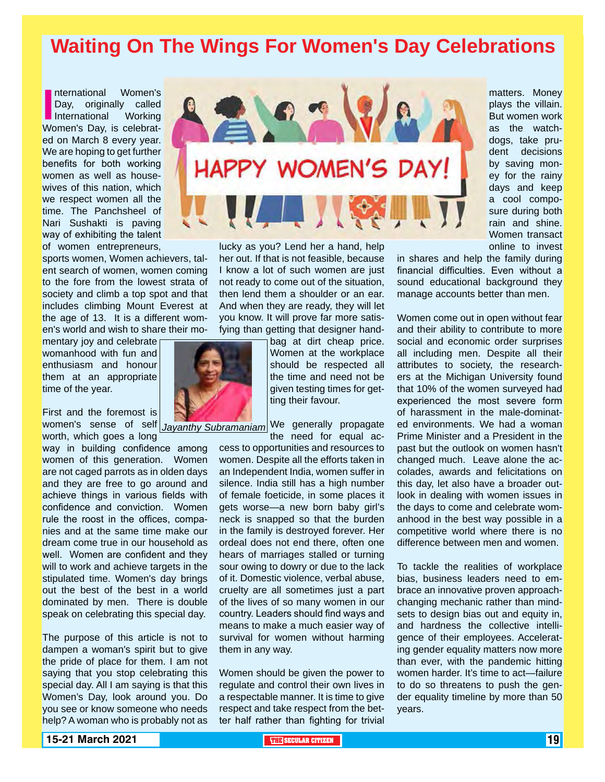## **Waiting On The Wings For Women's Day Celebrations**

International Women's<br>
Day, originally called<br>
International Working<br>
Women's Day, is celebratnternational Women's Day, originally called International Working ed on March 8 every year. We are hoping to get further benefits for both working women as well as housewives of this nation, which we respect women all the time. The Panchsheel of Nari Sushakti is paving way of exhibiting the talent of women entrepreneurs,

sports women, Women achievers, talent search of women, women coming to the fore from the lowest strata of society and climb a top spot and that includes climbing Mount Everest at the age of 13. It is a different women's world and wish to share their mo-

mentary joy and celebrate womanhood with fun and enthusiasm and honour them at an appropriate time of the year.

First and the foremost is women's sense of self *Jayanthy Subramaniam* We generally propagate worth, which goes a long

way in building confidence among women of this generation. Women are not caged parrots as in olden days and they are free to go around and achieve things in various fields with confidence and conviction. Women rule the roost in the offices, companies and at the same time make our dream come true in our household as well. Women are confident and they will to work and achieve targets in the stipulated time. Women's day brings out the best of the best in a world dominated by men. There is double speak on celebrating this special day.

The purpose of this article is not to dampen a woman's spirit but to give the pride of place for them. I am not saying that you stop celebrating this special day. All I am saying is that this Women's Day, look around you. Do you see or know someone who needs help? A woman who is probably not as



lucky as you? Lend her a hand, help her out. If that is not feasible, because I know a lot of such women are just not ready to come out of the situation, then lend them a shoulder or an ear. And when they are ready, they will let you know. It will prove far more satisfying than getting that designer hand-

> bag at dirt cheap price. Women at the workplace should be respected all the time and need not be given testing times for getting their favour.

the need for equal ac-

cess to opportunities and resources to women. Despite all the efforts taken in an Independent India, women suffer in silence. India still has a high number of female foeticide, in some places it gets worse—a new born baby girl's neck is snapped so that the burden in the family is destroyed forever. Her ordeal does not end there, often one hears of marriages stalled or turning sour owing to dowry or due to the lack of it. Domestic violence, verbal abuse, cruelty are all sometimes just a part of the lives of so many women in our country. Leaders should find ways and means to make a much easier way of survival for women without harming them in any way.

Women should be given the power to regulate and control their own lives in a respectable manner. It is time to give respect and take respect from the better half rather than fighting for trivial matters. Money plays the villain. But women work as the watchdogs, take prudent decisions by saving money for the rainy days and keep a cool composure during both rain and shine. Women transact online to invest

in shares and help the family during financial difficulties. Even without a sound educational background they manage accounts better than men.

Women come out in open without fear and their ability to contribute to more social and economic order surprises all including men. Despite all their attributes to society, the researchers at the Michigan University found that 10% of the women surveyed had experienced the most severe form of harassment in the male-dominated environments. We had a woman Prime Minister and a President in the past but the outlook on women hasn't changed much. Leave alone the accolades, awards and felicitations on this day, let also have a broader outlook in dealing with women issues in the days to come and celebrate womanhood in the best way possible in a competitive world where there is no difference between men and women.

To tackle the realities of workplace bias, business leaders need to embrace an innovative proven approachchanging mechanic rather than mindsets to design bias out and equity in, and hardness the collective intelligence of their employees. Accelerating gender equality matters now more than ever, with the pandemic hitting women harder. It's time to act—failure to do so threatens to push the gender equality timeline by more than 50 years.